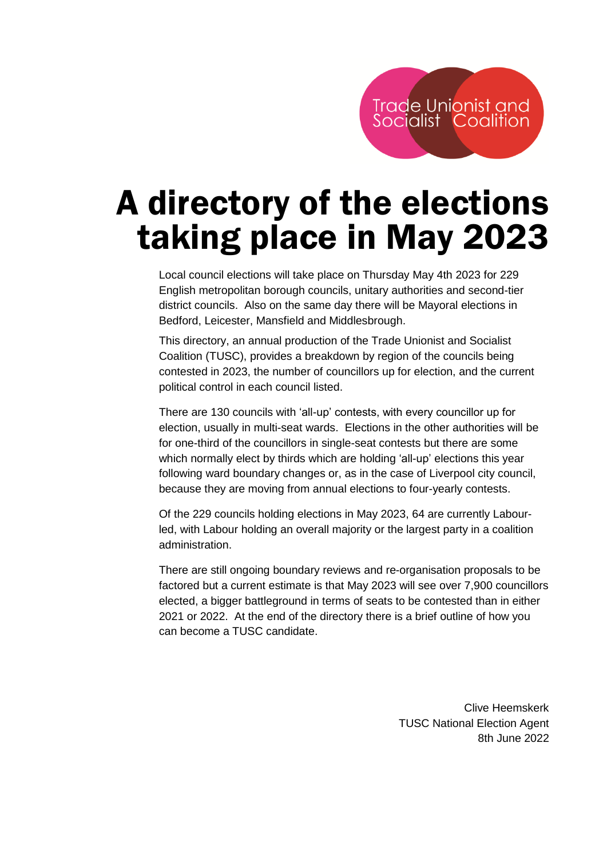# A directory of the elections taking place in May 2023

Local council elections will take place on Thursday May 4th 2023 for 229 English metropolitan borough councils, unitary authorities and second-tier district councils. Also on the same day there will be Mayoral elections in Bedford, Leicester, Mansfield and Middlesbrough.

This directory, an annual production of the Trade Unionist and Socialist Coalition (TUSC), provides a breakdown by region of the councils being contested in 2023, the number of councillors up for election, and the current political control in each council listed.

There are 130 councils with 'all-up' contests, with every councillor up for election, usually in multi-seat wards. Elections in the other authorities will be for one-third of the councillors in single-seat contests but there are some which normally elect by thirds which are holding 'all-up' elections this year following ward boundary changes or, as in the case of Liverpool city council, because they are moving from annual elections to four-yearly contests.

Of the 229 councils holding elections in May 2023, 64 are currently Labourled, with Labour holding an overall majority or the largest party in a coalition administration.

There are still ongoing boundary reviews and re-organisation proposals to be factored but a current estimate is that May 2023 will see over 7,900 councillors elected, a bigger battleground in terms of seats to be contested than in either 2021 or 2022. At the end of the directory there is a brief outline of how you can become a TUSC candidate.

> Clive Heemskerk TUSC National Election Agent 8th June 2022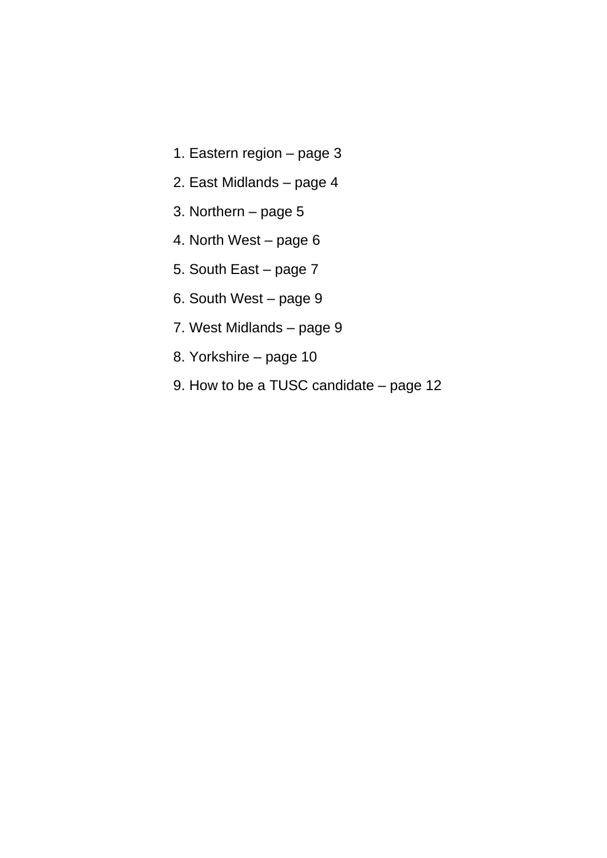- 1. Eastern region page 3
- 2. East Midlands page 4
- 3. Northern page 5
- 4. North West page 6
- 5. South East page 7
- 6. South West page 9
- 7. West Midlands page 9
- 8. Yorkshire page 10
- 9. How to be a TUSC candidate page 12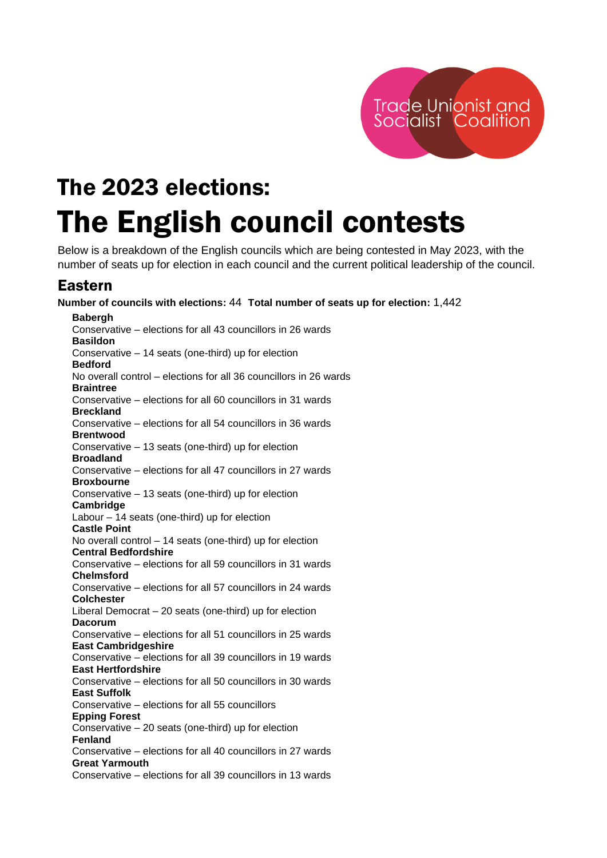

## The 2023 elections: The English council contests

Below is a breakdown of the English councils which are being contested in May 2023, with the number of seats up for election in each council and the current political leadership of the council.

## Eastern

**Number of councils with elections:** 44 **Total number of seats up for election:** 1,442 **Babergh** Conservative – elections for all 43 councillors in 26 wards **Basildon** Conservative – 14 seats (one-third) up for election **Bedford** No overall control – elections for all 36 councillors in 26 wards **Braintree** Conservative – elections for all 60 councillors in 31 wards **Breckland** Conservative – elections for all 54 councillors in 36 wards **Brentwood** Conservative – 13 seats (one-third) up for election **Broadland** Conservative – elections for all 47 councillors in 27 wards **Broxbourne** Conservative – 13 seats (one-third) up for election **Cambridge** Labour – 14 seats (one-third) up for election **Castle Point** No overall control – 14 seats (one-third) up for election **Central Bedfordshire** Conservative – elections for all 59 councillors in 31 wards **Chelmsford** Conservative – elections for all 57 councillors in 24 wards **Colchester** Liberal Democrat – 20 seats (one-third) up for election **Dacorum** Conservative – elections for all 51 councillors in 25 wards **East Cambridgeshire** Conservative – elections for all 39 councillors in 19 wards **East Hertfordshire** Conservative – elections for all 50 councillors in 30 wards **East Suffolk** Conservative – elections for all 55 councillors **Epping Forest** Conservative – 20 seats (one-third) up for election **Fenland** Conservative – elections for all 40 councillors in 27 wards **Great Yarmouth** Conservative – elections for all 39 councillors in 13 wards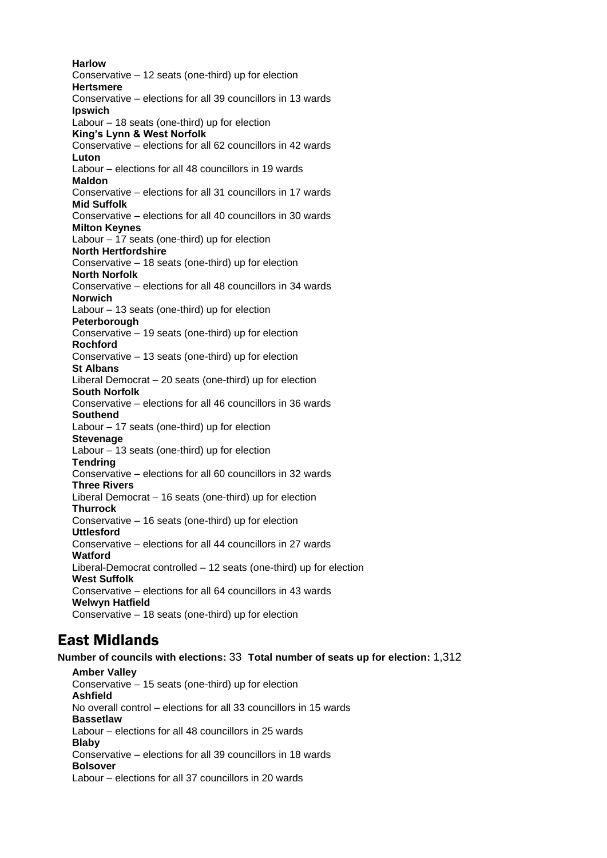**Harlow** Conservative – 12 seats (one-third) up for election **Hertsmere** Conservative – elections for all 39 councillors in 13 wards **Ipswich** Labour – 18 seats (one-third) up for election **King's Lynn & West Norfolk** Conservative – elections for all 62 councillors in 42 wards **Luton** Labour – elections for all 48 councillors in 19 wards **Maldon** Conservative – elections for all 31 councillors in 17 wards **Mid Suffolk** Conservative – elections for all 40 councillors in 30 wards **Milton Keynes** Labour – 17 seats (one-third) up for election **North Hertfordshire** Conservative – 18 seats (one-third) up for election **North Norfolk** Conservative – elections for all 48 councillors in 34 wards **Norwich** Labour – 13 seats (one-third) up for election **Peterborough** Conservative – 19 seats (one-third) up for election **Rochford** Conservative – 13 seats (one-third) up for election **St Albans** Liberal Democrat – 20 seats (one-third) up for election **South Norfolk** Conservative – elections for all 46 councillors in 36 wards **Southend** Labour – 17 seats (one-third) up for election **Stevenage** Labour – 13 seats (one-third) up for election **Tendring** Conservative – elections for all 60 councillors in 32 wards **Three Rivers** Liberal Democrat – 16 seats (one-third) up for election **Thurrock** Conservative – 16 seats (one-third) up for election **Uttlesford** Conservative – elections for all 44 councillors in 27 wards **Watford** Liberal-Democrat controlled – 12 seats (one-third) up for election **West Suffolk** Conservative – elections for all 64 councillors in 43 wards **Welwyn Hatfield** Conservative – 18 seats (one-third) up for election

## East Midlands

**Number of councils with elections:** 33 **Total number of seats up for election:** 1,312

**Amber Valley** Conservative – 15 seats (one-third) up for election **Ashfield** No overall control – elections for all 33 councillors in 15 wards **Bassetlaw** Labour – elections for all 48 councillors in 25 wards **Blaby** Conservative – elections for all 39 councillors in 18 wards **Bolsover** Labour – elections for all 37 councillors in 20 wards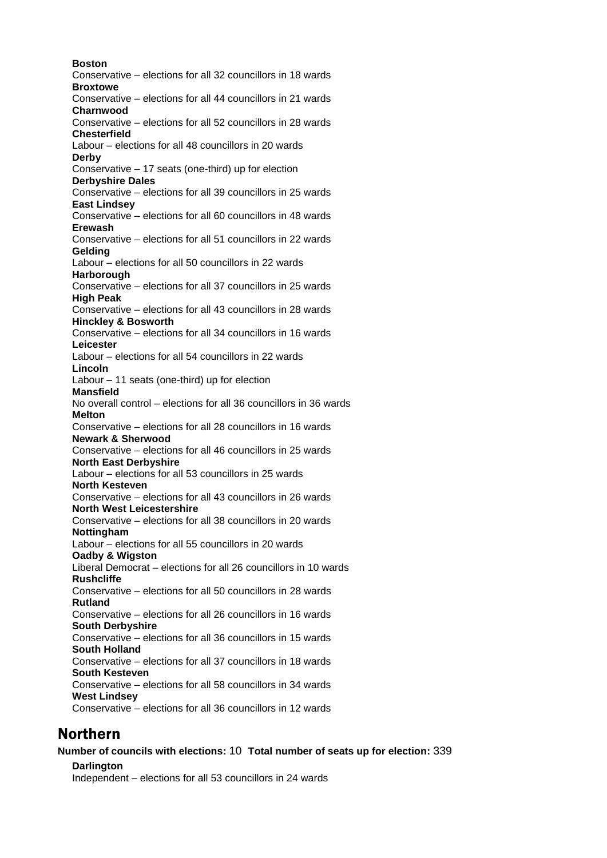**Boston** Conservative – elections for all 32 councillors in 18 wards **Broxtowe** Conservative – elections for all 44 councillors in 21 wards **Charnwood** Conservative – elections for all 52 councillors in 28 wards **Chesterfield** Labour – elections for all 48 councillors in 20 wards **Derby** Conservative – 17 seats (one-third) up for election **Derbyshire Dales** Conservative – elections for all 39 councillors in 25 wards **East Lindsey** Conservative – elections for all 60 councillors in 48 wards **Erewash** Conservative – elections for all 51 councillors in 22 wards **Gelding** Labour – elections for all 50 councillors in 22 wards **Harborough** Conservative – elections for all 37 councillors in 25 wards **High Peak** Conservative – elections for all 43 councillors in 28 wards **Hinckley & Bosworth** Conservative – elections for all 34 councillors in 16 wards **Leicester** Labour – elections for all 54 councillors in 22 wards **Lincoln** Labour – 11 seats (one-third) up for election **Mansfield** No overall control – elections for all 36 councillors in 36 wards **Melton** Conservative – elections for all 28 councillors in 16 wards **Newark & Sherwood** Conservative – elections for all 46 councillors in 25 wards **North East Derbyshire** Labour – elections for all 53 councillors in 25 wards **North Kesteven** Conservative – elections for all 43 councillors in 26 wards **North West Leicestershire** Conservative – elections for all 38 councillors in 20 wards **Nottingham** Labour – elections for all 55 councillors in 20 wards **Oadby & Wigston** Liberal Democrat – elections for all 26 councillors in 10 wards **Rushcliffe** Conservative – elections for all 50 councillors in 28 wards **Rutland** Conservative – elections for all 26 councillors in 16 wards **South Derbyshire** Conservative – elections for all 36 councillors in 15 wards **South Holland** Conservative – elections for all 37 councillors in 18 wards **South Kesteven** Conservative – elections for all 58 councillors in 34 wards **West Lindsey** Conservative – elections for all 36 councillors in 12 wards

### Northern

**Number of councils with elections:** 10 **Total number of seats up for election:** 339

**Darlington** Independent – elections for all 53 councillors in 24 wards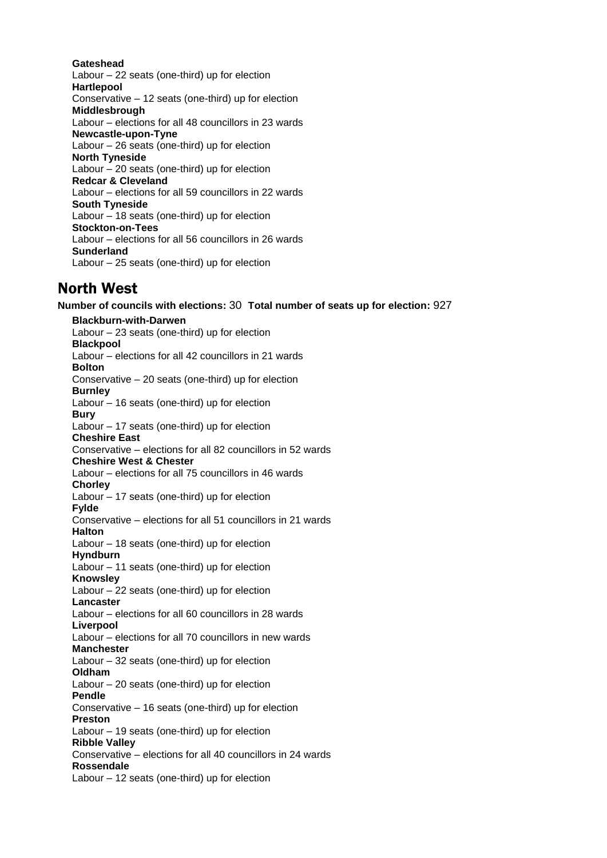#### **Gateshead**

Labour – 22 seats (one-third) up for election **Hartlepool** Conservative – 12 seats (one-third) up for election **Middlesbrough** Labour – elections for all 48 councillors in 23 wards **Newcastle-upon-Tyne** Labour – 26 seats (one-third) up for election **North Tyneside** Labour – 20 seats (one-third) up for election **Redcar & Cleveland** Labour – elections for all 59 councillors in 22 wards **South Tyneside** Labour – 18 seats (one-third) up for election **Stockton-on-Tees** Labour – elections for all 56 councillors in 26 wards **Sunderland** Labour – 25 seats (one-third) up for election

### North West

**Number of councils with elections:** 30 **Total number of seats up for election:** 927 **Blackburn-with-Darwen** Labour – 23 seats (one-third) up for election **Blackpool** Labour – elections for all 42 councillors in 21 wards **Bolton** Conservative – 20 seats (one-third) up for election **Burnley** Labour – 16 seats (one-third) up for election **Bury** Labour – 17 seats (one-third) up for election **Cheshire East** Conservative – elections for all 82 councillors in 52 wards **Cheshire West & Chester** Labour – elections for all 75 councillors in 46 wards **Chorley** Labour – 17 seats (one-third) up for election **Fylde** Conservative – elections for all 51 councillors in 21 wards **Halton** Labour – 18 seats (one-third) up for election **Hyndburn** Labour – 11 seats (one-third) up for election **Knowsley** Labour – 22 seats (one-third) up for election **Lancaster** Labour – elections for all 60 councillors in 28 wards **Liverpool** Labour – elections for all 70 councillors in new wards **Manchester** Labour – 32 seats (one-third) up for election **Oldham** Labour – 20 seats (one-third) up for election **Pendle** Conservative – 16 seats (one-third) up for election **Preston** Labour – 19 seats (one-third) up for election **Ribble Valley** Conservative – elections for all 40 councillors in 24 wards **Rossendale** Labour – 12 seats (one-third) up for election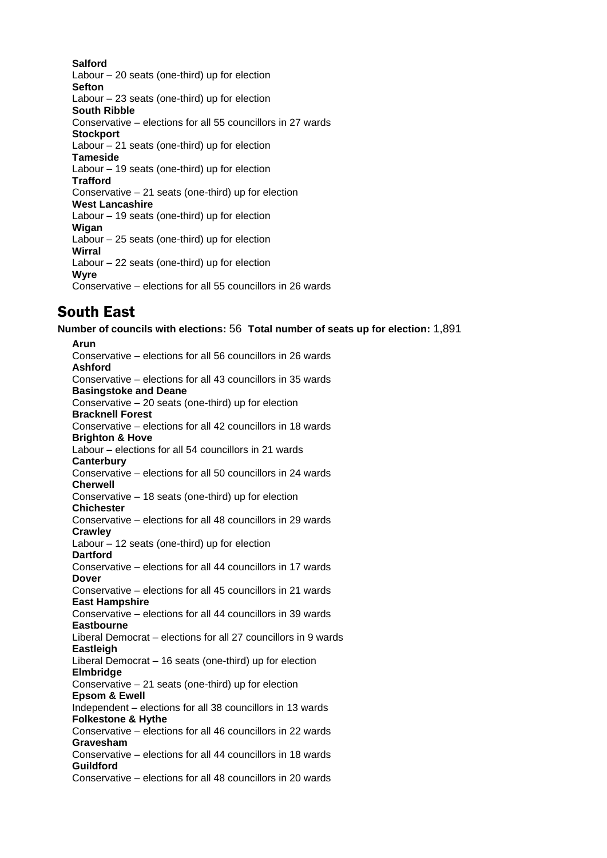#### **Salford**

Labour – 20 seats (one-third) up for election **Sefton** Labour – 23 seats (one-third) up for election **South Ribble** Conservative – elections for all 55 councillors in 27 wards **Stockport** Labour – 21 seats (one-third) up for election **Tameside** Labour – 19 seats (one-third) up for election **Trafford** Conservative – 21 seats (one-third) up for election **West Lancashire** Labour – 19 seats (one-third) up for election **Wigan** Labour – 25 seats (one-third) up for election **Wirral** Labour – 22 seats (one-third) up for election **Wyre** Conservative – elections for all 55 councillors in 26 wards

## South East

**Number of councils with elections:** 56 **Total number of seats up for election:** 1,891

**Arun** Conservative – elections for all 56 councillors in 26 wards **Ashford** Conservative – elections for all 43 councillors in 35 wards **Basingstoke and Deane** Conservative – 20 seats (one-third) up for election **Bracknell Forest** Conservative – elections for all 42 councillors in 18 wards **Brighton & Hove** Labour – elections for all 54 councillors in 21 wards **Canterbury** Conservative – elections for all 50 councillors in 24 wards **Cherwell** Conservative – 18 seats (one-third) up for election **Chichester** Conservative – elections for all 48 councillors in 29 wards **Crawley** Labour – 12 seats (one-third) up for election **Dartford** Conservative – elections for all 44 councillors in 17 wards **Dover** Conservative – elections for all 45 councillors in 21 wards **East Hampshire** Conservative – elections for all 44 councillors in 39 wards **Eastbourne** Liberal Democrat – elections for all 27 councillors in 9 wards **Eastleigh** Liberal Democrat – 16 seats (one-third) up for election **Elmbridge** Conservative – 21 seats (one-third) up for election **Epsom & Ewell** Independent – elections for all 38 councillors in 13 wards **Folkestone & Hythe** Conservative – elections for all 46 councillors in 22 wards **Gravesham** Conservative – elections for all 44 councillors in 18 wards **Guildford** Conservative – elections for all 48 councillors in 20 wards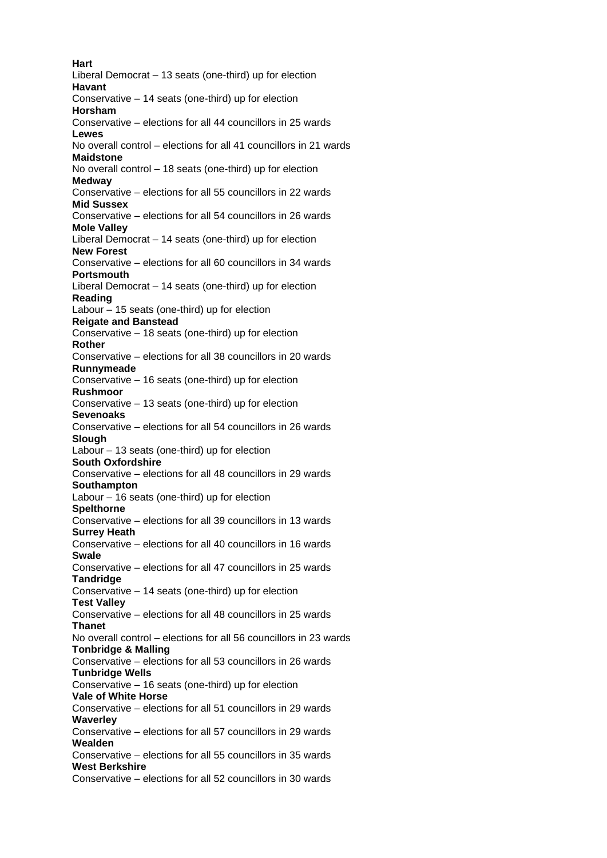**Hart** Liberal Democrat – 13 seats (one-third) up for election **Havant** Conservative – 14 seats (one-third) up for election **Horsham** Conservative – elections for all 44 councillors in 25 wards **Lewes** No overall control – elections for all 41 councillors in 21 wards **Maidstone** No overall control – 18 seats (one-third) up for election **Medway** Conservative – elections for all 55 councillors in 22 wards **Mid Sussex** Conservative – elections for all 54 councillors in 26 wards **Mole Valley** Liberal Democrat – 14 seats (one-third) up for election **New Forest** Conservative – elections for all 60 councillors in 34 wards **Portsmouth** Liberal Democrat – 14 seats (one-third) up for election **Reading** Labour – 15 seats (one-third) up for election **Reigate and Banstead** Conservative – 18 seats (one-third) up for election **Rother** Conservative – elections for all 38 councillors in 20 wards **Runnymeade** Conservative – 16 seats (one-third) up for election **Rushmoor** Conservative – 13 seats (one-third) up for election **Sevenoaks** Conservative – elections for all 54 councillors in 26 wards **Slough** Labour – 13 seats (one-third) up for election **South Oxfordshire** Conservative – elections for all 48 councillors in 29 wards **Southampton** Labour – 16 seats (one-third) up for election **Spelthorne** Conservative – elections for all 39 councillors in 13 wards **Surrey Heath** Conservative – elections for all 40 councillors in 16 wards **Swale** Conservative – elections for all 47 councillors in 25 wards **Tandridge** Conservative – 14 seats (one-third) up for election **Test Valley** Conservative – elections for all 48 councillors in 25 wards **Thanet** No overall control – elections for all 56 councillors in 23 wards **Tonbridge & Malling** Conservative – elections for all 53 councillors in 26 wards **Tunbridge Wells** Conservative – 16 seats (one-third) up for election **Vale of White Horse** Conservative – elections for all 51 councillors in 29 wards **Waverley** Conservative – elections for all 57 councillors in 29 wards **Wealden** Conservative – elections for all 55 councillors in 35 wards **West Berkshire** Conservative – elections for all 52 councillors in 30 wards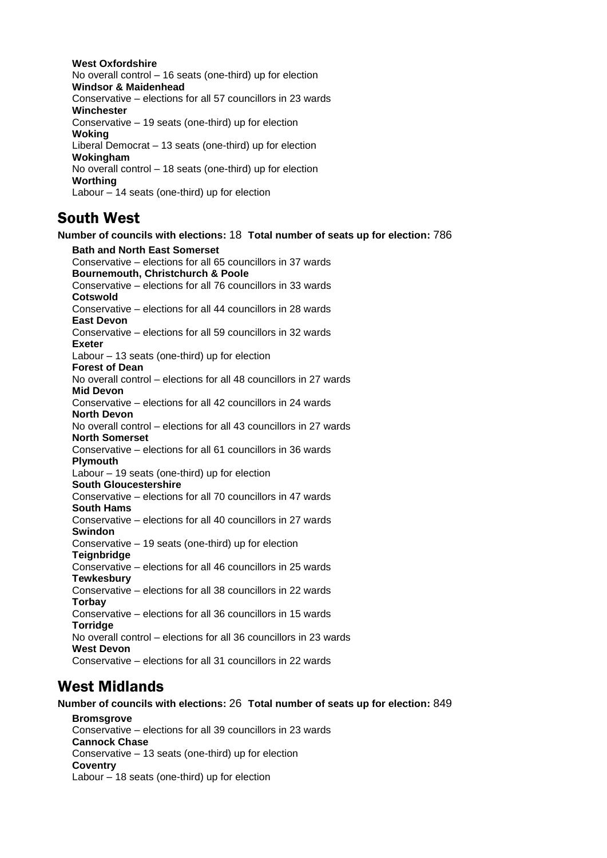**West Oxfordshire** No overall control – 16 seats (one-third) up for election **Windsor & Maidenhead** Conservative – elections for all 57 councillors in 23 wards **Winchester** Conservative – 19 seats (one-third) up for election **Woking** Liberal Democrat – 13 seats (one-third) up for election **Wokingham** No overall control – 18 seats (one-third) up for election **Worthing** Labour – 14 seats (one-third) up for election

## South West

**Number of councils with elections:** 18 **Total number of seats up for election:** 786 **Bath and North East Somerset** Conservative – elections for all 65 councillors in 37 wards **Bournemouth, Christchurch & Poole** Conservative – elections for all 76 councillors in 33 wards **Cotswold** Conservative – elections for all 44 councillors in 28 wards **East Devon** Conservative – elections for all 59 councillors in 32 wards **Exeter** Labour – 13 seats (one-third) up for election **Forest of Dean** No overall control – elections for all 48 councillors in 27 wards **Mid Devon** Conservative – elections for all 42 councillors in 24 wards **North Devon** No overall control – elections for all 43 councillors in 27 wards **North Somerset** Conservative – elections for all 61 councillors in 36 wards **Plymouth** Labour – 19 seats (one-third) up for election **South Gloucestershire** Conservative – elections for all 70 councillors in 47 wards **South Hams** Conservative – elections for all 40 councillors in 27 wards **Swindon** Conservative – 19 seats (one-third) up for election **Teignbridge** Conservative – elections for all 46 councillors in 25 wards **Tewkesbury** Conservative – elections for all 38 councillors in 22 wards **Torbay** Conservative – elections for all 36 councillors in 15 wards **Torridge** No overall control – elections for all 36 councillors in 23 wards **West Devon** Conservative – elections for all 31 councillors in 22 wards

## West Midlands

**Number of councils with elections:** 26 **Total number of seats up for election:** 849 **Bromsgrove** Conservative – elections for all 39 councillors in 23 wards **Cannock Chase** Conservative – 13 seats (one-third) up for election **Coventry** Labour – 18 seats (one-third) up for election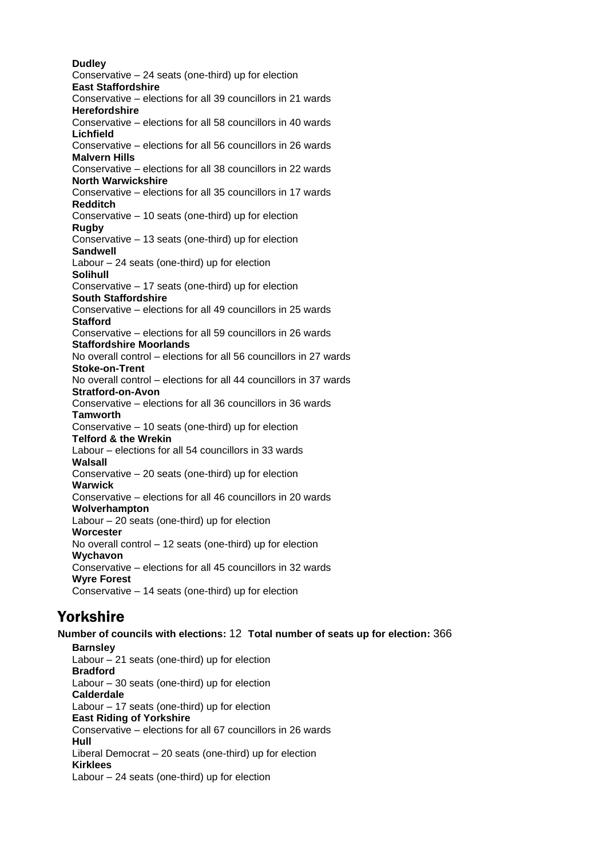**Dudley** Conservative – 24 seats (one-third) up for election **East Staffordshire** Conservative – elections for all 39 councillors in 21 wards **Herefordshire** Conservative – elections for all 58 councillors in 40 wards **Lichfield** Conservative – elections for all 56 councillors in 26 wards **Malvern Hills** Conservative – elections for all 38 councillors in 22 wards **North Warwickshire** Conservative – elections for all 35 councillors in 17 wards **Redditch** Conservative – 10 seats (one-third) up for election **Rugby** Conservative – 13 seats (one-third) up for election **Sandwell** Labour – 24 seats (one-third) up for election **Solihull** Conservative – 17 seats (one-third) up for election **South Staffordshire** Conservative – elections for all 49 councillors in 25 wards **Stafford** Conservative – elections for all 59 councillors in 26 wards **Staffordshire Moorlands** No overall control – elections for all 56 councillors in 27 wards **Stoke-on-Trent** No overall control – elections for all 44 councillors in 37 wards **Stratford-on-Avon** Conservative – elections for all 36 councillors in 36 wards **Tamworth** Conservative – 10 seats (one-third) up for election **Telford & the Wrekin** Labour – elections for all 54 councillors in 33 wards **Walsall** Conservative – 20 seats (one-third) up for election **Warwick** Conservative – elections for all 46 councillors in 20 wards **Wolverhampton** Labour – 20 seats (one-third) up for election **Worcester** No overall control – 12 seats (one-third) up for election **Wychavon** Conservative – elections for all 45 councillors in 32 wards **Wyre Forest** Conservative – 14 seats (one-third) up for election

## Yorkshire

**Number of councils with elections:** 12 **Total number of seats up for election:** 366 **Barnsley** Labour – 21 seats (one-third) up for election **Bradford** Labour – 30 seats (one-third) up for election **Calderdale** Labour – 17 seats (one-third) up for election **East Riding of Yorkshire** Conservative – elections for all 67 councillors in 26 wards **Hull** Liberal Democrat – 20 seats (one-third) up for election **Kirklees** Labour – 24 seats (one-third) up for election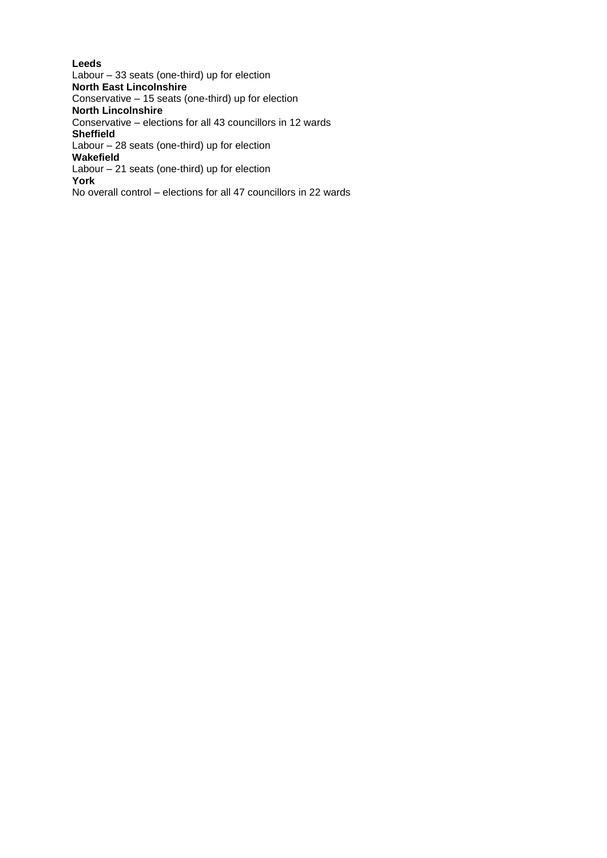**Leeds** Labour – 33 seats (one-third) up for election **North East Lincolnshire** Conservative – 15 seats (one-third) up for election **North Lincolnshire** Conservative – elections for all 43 councillors in 12 wards **Sheffield** Labour – 28 seats (one-third) up for election **Wakefield** Labour – 21 seats (one-third) up for election **York** No overall control – elections for all 47 councillors in 22 wards